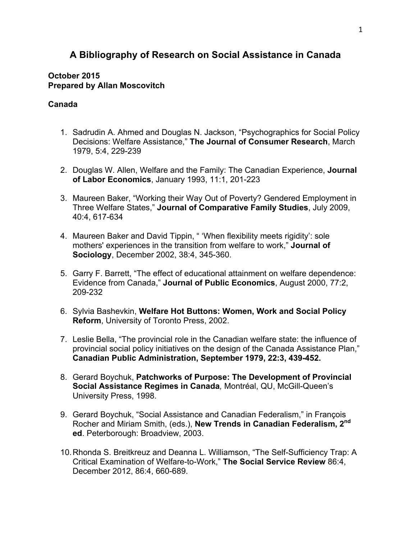# **A Bibliography of Research on Social Assistance in Canada**

#### **October 2015 Prepared by Allan Moscovitch**

#### **Canada**

- 1. Sadrudin A. Ahmed and Douglas N. Jackson, "Psychographics for Social Policy Decisions: Welfare Assistance," **The Journal of Consumer Research**, March 1979, 5:4, 229-239
- 2. Douglas W. Allen, Welfare and the Family: The Canadian Experience, **Journal of Labor Economics**, January 1993, 11:1, 201-223
- 3. Maureen Baker, "Working their Way Out of Poverty? Gendered Employment in Three Welfare States," **Journal of Comparative Family Studies**, July 2009, 40:4, 617-634
- 4. Maureen Baker and David Tippin, " 'When flexibility meets rigidity': sole mothers' experiences in the transition from welfare to work," **Journal of Sociology**, December 2002, 38:4, 345-360.
- 5. Garry F. Barrett, "The effect of educational attainment on welfare dependence: Evidence from Canada," **Journal of Public Economics**, August 2000, 77:2, 209-232
- 6. Sylvia Bashevkin, **Welfare Hot Buttons: Women, Work and Social Policy Reform**, University of Toronto Press, 2002.
- 7. Leslie Bella, "The provincial role in the Canadian welfare state: the influence of provincial social policy initiatives on the design of the Canada Assistance Plan," **Canadian Public Administration, September 1979, 22:3, 439-452.**
- 8. Gerard Boychuk, **Patchworks of Purpose: The Development of Provincial Social Assistance Regimes in Canada***,* Montréal, QU, McGill-Queen's University Press, 1998.
- 9. Gerard Boychuk, "Social Assistance and Canadian Federalism," in François Rocher and Miriam Smith, (eds.), **New Trends in Canadian Federalism, 2nd ed**. Peterborough: Broadview, 2003.
- 10.Rhonda S. Breitkreuz and Deanna L. Williamson, "The Self-Sufficiency Trap: A Critical Examination of Welfare-to-Work," **The Social Service Review** 86:4, December 2012, 86:4, 660-689.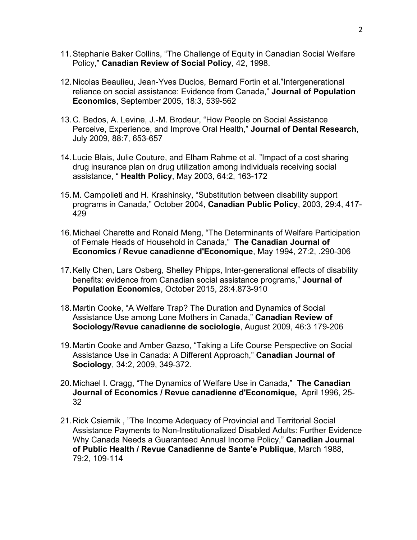- 11.Stephanie Baker Collins, "The Challenge of Equity in Canadian Social Welfare Policy," **Canadian Review of Social Policy***,* 42, 1998.
- 12.Nicolas Beaulieu, Jean-Yves Duclos, Bernard Fortin et al."Intergenerational reliance on social assistance: Evidence from Canada," **Journal of Population Economics**, September 2005, 18:3, 539-562
- 13.C. Bedos, A. Levine, J.-M. Brodeur, "How People on Social Assistance Perceive, Experience, and Improve Oral Health," **Journal of Dental Research**, July 2009, 88:7, 653-657
- 14.Lucie Blais, Julie Couture, and Elham Rahme et al. "Impact of a cost sharing drug insurance plan on drug utilization among individuals receiving social assistance, " **Health Policy**, May 2003, 64:2, 163-172
- 15.M. Campolieti and H. Krashinsky, "Substitution between disability support programs in Canada," October 2004, **Canadian Public Policy**, 2003, 29:4, 417- 429
- 16.Michael Charette and Ronald Meng, "The Determinants of Welfare Participation of Female Heads of Household in Canada," **The Canadian Journal of Economics / Revue canadienne d'Economique**, May 1994, 27:2, .290-306
- 17.Kelly Chen, Lars Osberg, Shelley Phipps, Inter-generational effects of disability benefits: evidence from Canadian social assistance programs," **Journal of Population Economics**, October 2015, 28:4.873-910
- 18.Martin Cooke, "A Welfare Trap? The Duration and Dynamics of Social Assistance Use among Lone Mothers in Canada," **Canadian Review of Sociology/Revue canadienne de sociologie**, August 2009, 46:3 179-206
- 19.Martin Cooke and Amber Gazso, "Taking a Life Course Perspective on Social Assistance Use in Canada: A Different Approach," **Canadian Journal of Sociology**, 34:2, 2009, 349-372.
- 20.Michael I. Cragg, "The Dynamics of Welfare Use in Canada," **The Canadian Journal of Economics / Revue canadienne d'Economique,** April 1996, 25- 32
- 21.Rick Csiernik , "The Income Adequacy of Provincial and Territorial Social Assistance Payments to Non-Institutionalized Disabled Adults: Further Evidence Why Canada Needs a Guaranteed Annual Income Policy," **Canadian Journal of Public Health / Revue Canadienne de Sante'e Publique**, March 1988, 79:2, 109-114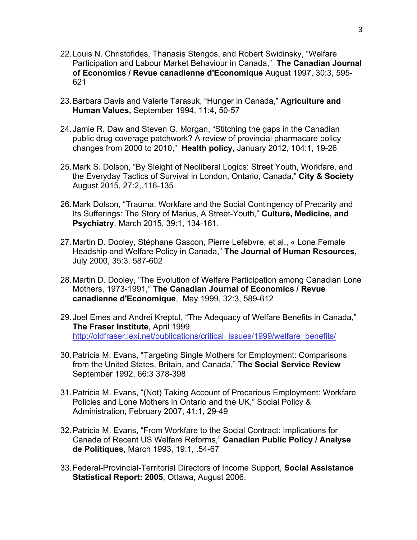- 22.Louis N. Christofides, Thanasis Stengos, and Robert Swidinsky, "Welfare Participation and Labour Market Behaviour in Canada," **The Canadian Journal of Economics / Revue canadienne d'Economique** August 1997, 30:3, 595- 621
- 23.Barbara Davis and Valerie Tarasuk, "Hunger in Canada," **Agriculture and Human Values,** September 1994, 11:4, 50-57
- 24.Jamie R. Daw and Steven G. Morgan, "Stitching the gaps in the Canadian public drug coverage patchwork? A review of provincial pharmacare policy changes from 2000 to 2010," **Health policy**, January 2012, 104:1, 19-26
- 25.Mark S. Dolson, "By Sleight of Neoliberal Logics: Street Youth, Workfare, and the Everyday Tactics of Survival in London, Ontario, Canada," **City & Society**  August 2015, 27:2,.116-135
- 26.Mark Dolson, "Trauma, Workfare and the Social Contingency of Precarity and Its Sufferings: The Story of Marius, A Street-Youth," **Culture, Medicine, and Psychiatry**, March 2015, 39:1, 134-161.
- 27.Martin D. Dooley, Stéphane Gascon, Pierre Lefebvre, et al., « Lone Female Headship and Welfare Policy in Canada," **The Journal of Human Resources,**  July 2000, 35:3, 587-602
- 28.Martin D. Dooley, 'The Evolution of Welfare Participation among Canadian Lone Mothers, 1973-1991," **The Canadian Journal of Economics / Revue canadienne d'Economique**, May 1999, 32:3, 589-612
- 29.Joel Emes and Andrei Kreptul, "The Adequacy of Welfare Benefits in Canada," **The Fraser Institute**, April 1999, http://oldfraser.lexi.net/publications/critical\_issues/1999/welfare\_benefits/
- 30.Patricia M. Evans, "Targeting Single Mothers for Employment: Comparisons from the United States, Britain, and Canada," **The Social Service Review**  September 1992, 66:3 378-398
- 31.Patricia M. Evans, "(Not) Taking Account of Precarious Employment: Workfare Policies and Lone Mothers in Ontario and the UK," Social Policy & Administration, February 2007, 41:1, 29-49
- 32.Patricia M. Evans, "From Workfare to the Social Contract: Implications for Canada of Recent US Welfare Reforms," **Canadian Public Policy / Analyse de Politiques**, March 1993, 19:1, .54-67
- 33.Federal-Provincial-Territorial Directors of Income Support, **Social Assistance Statistical Report: 2005**, Ottawa, August 2006.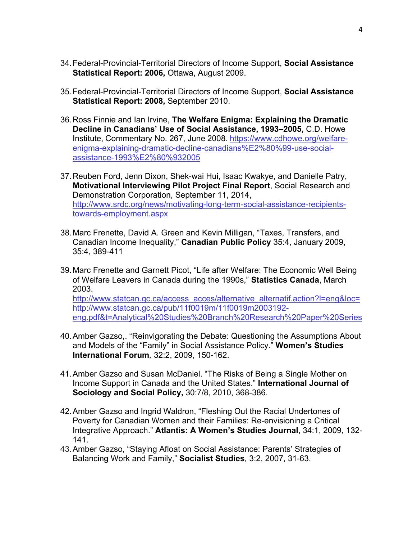- 34.Federal-Provincial-Territorial Directors of Income Support, **Social Assistance Statistical Report: 2006,** Ottawa, August 2009.
- 35.Federal-Provincial-Territorial Directors of Income Support, **Social Assistance Statistical Report: 2008,** September 2010.
- 36.Ross Finnie and Ian Irvine, **The Welfare Enigma: Explaining the Dramatic Decline in Canadians' Use of Social Assistance, 1993–2005,** C.D. Howe Institute, Commentary No. 267, June 2008. https://www.cdhowe.org/welfareenigma-explaining-dramatic-decline-canadians%E2%80%99-use-socialassistance-1993%E2%80%932005
- 37.Reuben Ford, Jenn Dixon, Shek-wai Hui, Isaac Kwakye, and Danielle Patry, **Motivational Interviewing Pilot Project Final Report**, Social Research and Demonstration Corporation, September 11, 2014, http://www.srdc.org/news/motivating-long-term-social-assistance-recipientstowards-employment.aspx
- 38.Marc Frenette, David A. Green and Kevin Milligan, "Taxes, Transfers, and Canadian Income Inequality," **Canadian Public Policy** 35:4, January 2009, 35:4, 389-411
- 39.Marc Frenette and Garnett Picot, "Life after Welfare: The Economic Well Being of Welfare Leavers in Canada during the 1990s," **Statistics Canada**, March 2003. http://www.statcan.gc.ca/access\_acces/alternative\_alternatif.action?l=eng&loc= http://www.statcan.gc.ca/pub/11f0019m/11f0019m2003192 eng.pdf&t=Analytical%20Studies%20Branch%20Research%20Paper%20Series
- 40.Amber Gazso,. "Reinvigorating the Debate: Questioning the Assumptions About and Models of the "Family" in Social Assistance Policy." **Women's Studies International Forum***,* 32:2, 2009, 150-162.
- 41.Amber Gazso and Susan McDaniel. "The Risks of Being a Single Mother on Income Support in Canada and the United States." **International Journal of Sociology and Social Policy,** 30:7/8, 2010, 368-386.
- 42.Amber Gazso and Ingrid Waldron, "Fleshing Out the Racial Undertones of Poverty for Canadian Women and their Families: Re-envisioning a Critical Integrative Approach." **Atlantis: A Women's Studies Journal**, 34:1, 2009, 132- 141.
- 43.Amber Gazso, "Staying Afloat on Social Assistance: Parents' Strategies of Balancing Work and Family," **Socialist Studies***,* 3:2, 2007, 31-63.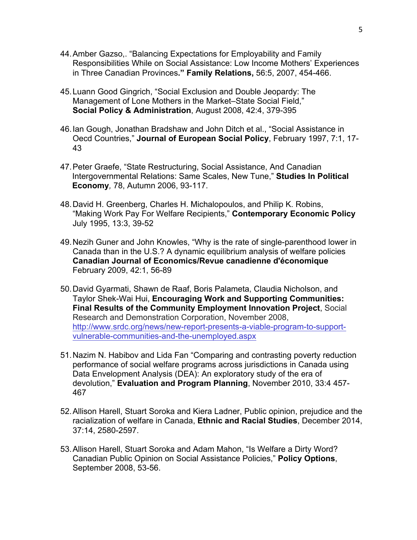- 44.Amber Gazso,. "Balancing Expectations for Employability and Family Responsibilities While on Social Assistance: Low Income Mothers' Experiences in Three Canadian Provinces**." Family Relations,** 56:5, 2007, 454-466.
- 45.Luann Good Gingrich, "Social Exclusion and Double Jeopardy: The Management of Lone Mothers in the Market–State Social Field," **Social Policy & Administration**, August 2008, 42:4, 379-395
- 46.Ian Gough, Jonathan Bradshaw and John Ditch et al., "Social Assistance in Oecd Countries," **Journal of European Social Policy**, February 1997, 7:1, 17- 43
- 47.Peter Graefe, "State Restructuring, Social Assistance, And Canadian Intergovernmental Relations: Same Scales, New Tune," **Studies In Political Economy***,* 78, Autumn 2006, 93-117.
- 48.David H. Greenberg, Charles H. Michalopoulos, and Philip K. Robins, "Making Work Pay For Welfare Recipients," **Contemporary Economic Policy**  July 1995, 13:3, 39-52
- 49.Nezih Guner and John Knowles, "Why is the rate of single-parenthood lower in Canada than in the U.S.? A dynamic equilibrium analysis of welfare policies **Canadian Journal of Economics/Revue canadienne d'économique** February 2009, 42:1, 56-89
- 50.David Gyarmati, Shawn de Raaf, Boris Palameta, Claudia Nicholson, and Taylor Shek-Wai Hui, **Encouraging Work and Supporting Communities: Final Results of the Community Employment Innovation Project**, Social Research and Demonstration Corporation, November 2008, http://www.srdc.org/news/new-report-presents-a-viable-program-to-supportvulnerable-communities-and-the-unemployed.aspx
- 51.Nazim N. Habibov and Lida Fan "Comparing and contrasting poverty reduction performance of social welfare programs across jurisdictions in Canada using Data Envelopment Analysis (DEA): An exploratory study of the era of devolution," **Evaluation and Program Planning**, November 2010, 33:4 457- 467
- 52.Allison Harell, Stuart Soroka and Kiera Ladner, Public opinion, prejudice and the racialization of welfare in Canada, **Ethnic and Racial Studies**, December 2014, 37:14, 2580-2597.
- 53.Allison Harell, Stuart Soroka and Adam Mahon, "Is Welfare a Dirty Word? Canadian Public Opinion on Social Assistance Policies," **Policy Options**, September 2008, 53-56.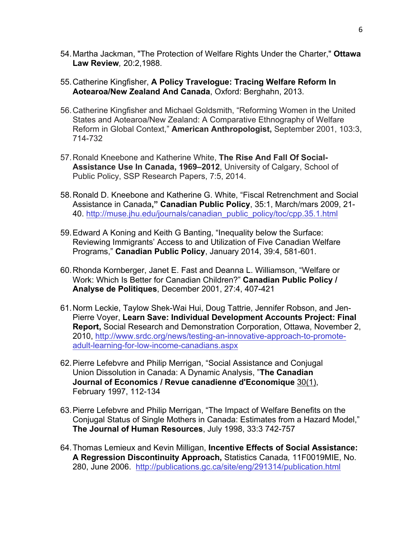- 54.Martha Jackman, "The Protection of Welfare Rights Under the Charter," **Ottawa Law Review***,* 20:2,1988.
- 55.Catherine Kingfisher, **A Policy Travelogue: Tracing Welfare Reform In Aotearoa/New Zealand And Canada**, Oxford: Berghahn, 2013.
- 56.Catherine Kingfisher and Michael Goldsmith, "Reforming Women in the United States and Aotearoa/New Zealand: A Comparative Ethnography of Welfare Reform in Global Context," **American Anthropologist,** September 2001, 103:3, 714-732
- 57.Ronald Kneebone and Katherine White, **The Rise And Fall Of Social-Assistance Use In Canada, 1969–2012**, University of Calgary, School of Public Policy, SSP Research Papers, 7:5, 2014.
- 58.Ronald D. Kneebone and Katherine G. White, "Fiscal Retrenchment and Social Assistance in Canada**," Canadian Public Policy**, 35:1, March/mars 2009, 21- 40. http://muse.jhu.edu/journals/canadian\_public\_policy/toc/cpp.35.1.html
- 59.Edward A Koning and Keith G Banting, "Inequality below the Surface: Reviewing Immigrants' Access to and Utilization of Five Canadian Welfare Programs," **Canadian Public Policy**, January 2014, 39:4, 581-601.
- 60.Rhonda Kornberger, Janet E. Fast and Deanna L. Williamson, "Welfare or Work: Which Is Better for Canadian Children?" **Canadian Public Policy / Analyse de Politiques**, December 2001, 27:4, 407-421
- 61.Norm Leckie, Taylow Shek-Wai Hui, Doug Tattrie, Jennifer Robson, and Jen-Pierre Voyer, **Learn Save: Individual Development Accounts Project: Final Report,** Social Research and Demonstration Corporation, Ottawa, November 2, 2010, http://www.srdc.org/news/testing-an-innovative-approach-to-promoteadult-learning-for-low-income-canadians.aspx
- 62.Pierre Lefebvre and Philip Merrigan, "Social Assistance and Conjugal Union Dissolution in Canada: A Dynamic Analysis, "**The Canadian Journal of Economics / Revue canadienne d'Economique** 30(1), February 1997, 112-134
- 63.Pierre Lefebvre and Philip Merrigan, "The Impact of Welfare Benefits on the Conjugal Status of Single Mothers in Canada: Estimates from a Hazard Model," **The Journal of Human Resources**, July 1998, 33:3 742-757
- 64.Thomas Lemieux and Kevin Milligan, **Incentive Effects of Social Assistance: A Regression Discontinuity Approach,** Statistics Canada*,* 11F0019MIE, No. 280, June 2006. http://publications.gc.ca/site/eng/291314/publication.html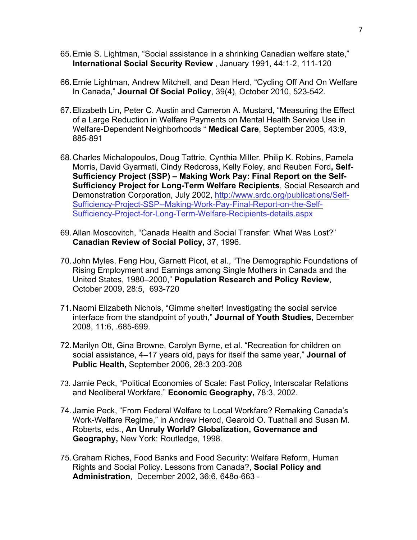- 65.Ernie S. Lightman, "Social assistance in a shrinking Canadian welfare state," **International Social Security Review** , January 1991, 44:1-2, 111-120
- 66.Ernie Lightman, Andrew Mitchell, and Dean Herd, "Cycling Off And On Welfare In Canada," **Journal Of Social Policy**, 39(4), October 2010, 523-542.
- 67.Elizabeth Lin, Peter C. Austin and Cameron A. Mustard, "Measuring the Effect of a Large Reduction in Welfare Payments on Mental Health Service Use in Welfare-Dependent Neighborhoods " **Medical Care**, September 2005, 43:9, 885-891
- 68.Charles Michalopoulos, Doug Tattrie, Cynthia Miller, Philip K. Robins, Pamela Morris, David Gyarmati, Cindy Redcross, Kelly Foley, and Reuben Ford**, Self-Sufficiency Project (SSP) – Making Work Pay: Final Report on the Self-Sufficiency Project for Long-Term Welfare Recipients**, Social Research and Demonstration Corporation, July 2002, http://www.srdc.org/publications/Self-Sufficiency-Project-SSP--Making-Work-Pay-Final-Report-on-the-Self-Sufficiency-Project-for-Long-Term-Welfare-Recipients-details.aspx
- 69.Allan Moscovitch, "Canada Health and Social Transfer: What Was Lost?" **Canadian Review of Social Policy,** 37, 1996.
- 70.John Myles, Feng Hou, Garnett Picot, et al., "The Demographic Foundations of Rising Employment and Earnings among Single Mothers in Canada and the United States, 1980–2000," **Population Research and Policy Review**, October 2009, 28:5, 693-720
- 71.Naomi Elizabeth Nichols, "Gimme shelter! Investigating the social service interface from the standpoint of youth," **Journal of Youth Studies**, December 2008, 11:6, .685-699.
- 72.Marilyn Ott, Gina Browne, Carolyn Byrne, et al. "Recreation for children on social assistance, 4–17 years old, pays for itself the same year," **Journal of Public Health,** September 2006, 28:3 203-208
- 73. Jamie Peck, "Political Economies of Scale: Fast Policy, Interscalar Relations and Neoliberal Workfare," **Economic Geography,** 78:3, 2002.
- 74.Jamie Peck, "From Federal Welfare to Local Workfare? Remaking Canada's Work-Welfare Regime," in Andrew Herod, Gearoid O. Tuathail and Susan M. Roberts, eds., **An Unruly World? Globalization, Governance and Geography,** New York: Routledge, 1998.
- 75.Graham Riches, Food Banks and Food Security: Welfare Reform, Human Rights and Social Policy. Lessons from Canada?, **Social Policy and Administration**, December 2002, 36:6, 648o-663 -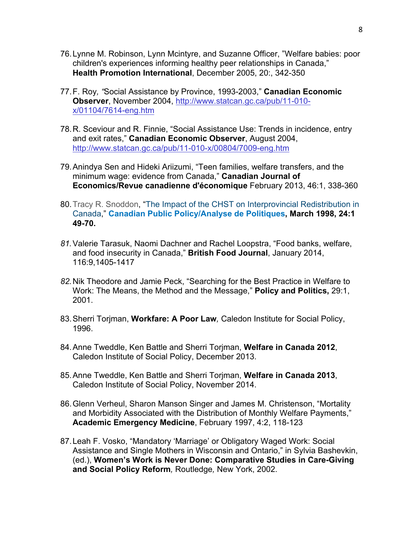- 76.Lynne M. Robinson, Lynn Mcintyre, and Suzanne Officer, "Welfare babies: poor children's experiences informing healthy peer relationships in Canada," **Health Promotion International**, December 2005, 20:, 342-350
- 77.F. Roy*, "*Social Assistance by Province, 1993-2003," **Canadian Economic Observer**, November 2004, http://www.statcan.gc.ca/pub/11-010 x/01104/7614-eng.htm
- 78.R. Sceviour and R. Finnie, "Social Assistance Use: Trends in incidence, entry and exit rates," **Canadian Economic Observer**, August 2004, http://www.statcan.gc.ca/pub/11-010-x/00804/7009-eng.htm
- 79.Anindya Sen and Hideki Ariizumi, "Teen families, welfare transfers, and the minimum wage: evidence from Canada," **Canadian Journal of Economics/Revue canadienne d'économique** February 2013, 46:1, 338-360
- 80.Tracy R. Snoddon, "The Impact of the CHST on Interprovincial Redistribution in Canada," **Canadian Public Policy/Analyse de Politiques, March 1998, 24:1 49-70.**
- *81.*Valerie Tarasuk, Naomi Dachner and Rachel Loopstra, "Food banks, welfare, and food insecurity in Canada," **British Food Journal**, January 2014, 116:9,1405-1417
- *82.*Nik Theodore and Jamie Peck, "Searching for the Best Practice in Welfare to Work: The Means, the Method and the Message," **Policy and Politics,** 29:1, 2001.
- 83.Sherri Torjman, **Workfare: A Poor Law***,* Caledon Institute for Social Policy, 1996.
- 84.Anne Tweddle, Ken Battle and Sherri Torjman, **Welfare in Canada 2012**, Caledon Institute of Social Policy, December 2013.
- 85.Anne Tweddle, Ken Battle and Sherri Torjman, **Welfare in Canada 2013**, Caledon Institute of Social Policy, November 2014.
- 86.Glenn Verheul, Sharon Manson Singer and James M. Christenson, "Mortality and Morbidity Associated with the Distribution of Monthly Welfare Payments," **Academic Emergency Medicine**, February 1997, 4:2, 118-123
- 87.Leah F. Vosko, "Mandatory 'Marriage' or Obligatory Waged Work: Social Assistance and Single Mothers in Wisconsin and Ontario," in Sylvia Bashevkin, (ed.), **Women's Work is Never Done: Comparative Studies in Care-Giving and Social Policy Reform***,* Routledge*,* New York, 2002.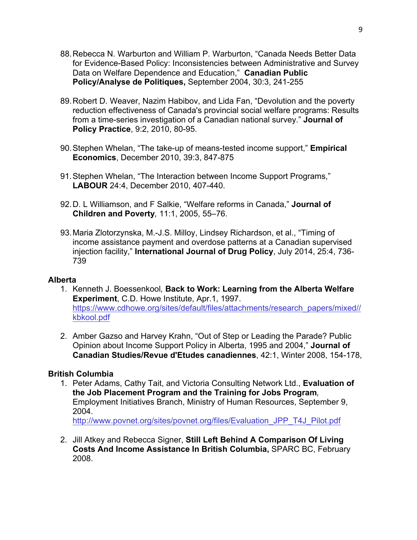- 88.Rebecca N. Warburton and William P. Warburton, "Canada Needs Better Data for Evidence-Based Policy: Inconsistencies between Administrative and Survey Data on Welfare Dependence and Education," **Canadian Public Policy/Analyse de Politiques,** September 2004, 30:3, 241-255
- 89.Robert D. Weaver, Nazim Habibov, and Lida Fan, "Devolution and the poverty reduction effectiveness of Canada's provincial social welfare programs: Results from a time-series investigation of a Canadian national survey." **Journal of Policy Practice**, 9:2, 2010, 80-95.
- 90.Stephen Whelan, "The take-up of means-tested income support," **Empirical Economics**, December 2010, 39:3, 847-875
- 91.Stephen Whelan, "The Interaction between Income Support Programs," **LABOUR** 24:4, December 2010, 407-440.
- 92.D. L Williamson, and F Salkie, "Welfare reforms in Canada," **Journal of Children and Poverty***,* 11:1, 2005, 55–76.
- 93.Maria Zlotorzynska, M.-J.S. Milloy, Lindsey Richardson, et al., "Timing of income assistance payment and overdose patterns at a Canadian supervised injection facility," **International Journal of Drug Policy**, July 2014, 25:4, 736- 739

#### **Alberta**

- 1. Kenneth J. Boessenkool*,* **Back to Work: Learning from the Alberta Welfare Experiment**, C.D. Howe Institute, Apr.1, 1997. https://www.cdhowe.org/sites/default/files/attachments/research\_papers/mixed// kbkool.pdf
- 2. Amber Gazso and Harvey Krahn, "Out of Step or Leading the Parade? Public Opinion about Income Support Policy in Alberta, 1995 and 2004," **Journal of Canadian Studies/Revue d'Etudes canadiennes**, 42:1, Winter 2008, 154-178,

# **British Columbia**

- 1. Peter Adams, Cathy Tait, and Victoria Consulting Network Ltd., **Evaluation of the Job Placement Program and the Training for Jobs Program***,*  Employment Initiatives Branch, Ministry of Human Resources, September 9, 2004. http://www.povnet.org/sites/povnet.org/files/Evaluation\_JPP\_T4J\_Pilot.pdf
- 2. Jill Atkey and Rebecca Signer, **Still Left Behind A Comparison Of Living Costs And Income Assistance In British Columbia,** SPARC BC, February 2008.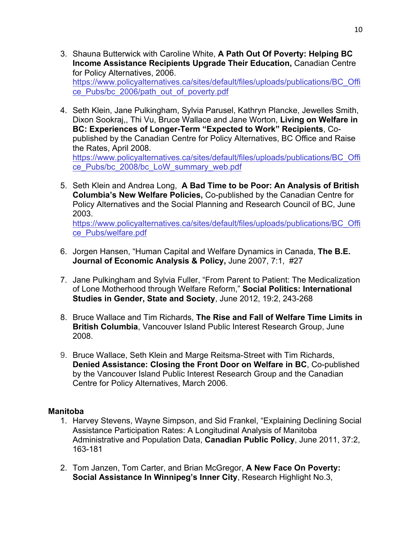- 3. Shauna Butterwick with Caroline White, **A Path Out Of Poverty: Helping BC Income Assistance Recipients Upgrade Their Education,** Canadian Centre for Policy Alternatives, 2006. https://www.policyalternatives.ca/sites/default/files/uploads/publications/BC\_Offi ce\_Pubs/bc\_2006/path\_out\_of\_poverty.pdf
- 4. Seth Klein, Jane Pulkingham, Sylvia Parusel, Kathryn Plancke, Jewelles Smith, Dixon Sookraj,, Thi Vu, Bruce Wallace and Jane Worton, **Living on Welfare in BC: Experiences of Longer-Term "Expected to Work" Recipients**, Copublished by the Canadian Centre for Policy Alternatives, BC Office and Raise the Rates, April 2008. https://www.policyalternatives.ca/sites/default/files/uploads/publications/BC\_Offi ce\_Pubs/bc\_2008/bc\_LoW\_summary\_web.pdf
- 5. Seth Klein and Andrea Long, **A Bad Time to be Poor: An Analysis of British Columbia's New Welfare Policies,** Co-published by the Canadian Centre for Policy Alternatives and the Social Planning and Research Council of BC, June 2003. https://www.policyalternatives.ca/sites/default/files/uploads/publications/BC\_Offi ce\_Pubs/welfare.pdf
- 6. Jorgen Hansen, "Human Capital and Welfare Dynamics in Canada, **The B.E. Journal of Economic Analysis & Policy,** June 2007, 7:1, #27
- 7. Jane Pulkingham and Sylvia Fuller, "From Parent to Patient: The Medicalization of Lone Motherhood through Welfare Reform," **Social Politics: International Studies in Gender, State and Society**, June 2012, 19:2, 243-268
- 8. Bruce Wallace and Tim Richards, **The Rise and Fall of Welfare Time Limits in British Columbia**, Vancouver Island Public Interest Research Group, June 2008.
- 9. Bruce Wallace, Seth Klein and Marge Reitsma-Street with Tim Richards, **Denied Assistance: Closing the Front Door on Welfare in BC**, Co-published by the Vancouver Island Public Interest Research Group and the Canadian Centre for Policy Alternatives, March 2006.

#### **Manitoba**

- 1. Harvey Stevens, Wayne Simpson, and Sid Frankel, "Explaining Declining Social Assistance Participation Rates: A Longitudinal Analysis of Manitoba Administrative and Population Data, **Canadian Public Policy**, June 2011, 37:2, 163-181
- 2. Tom Janzen, Tom Carter, and Brian McGregor, **A New Face On Poverty: Social Assistance In Winnipeg's Inner City**, Research Highlight No.3,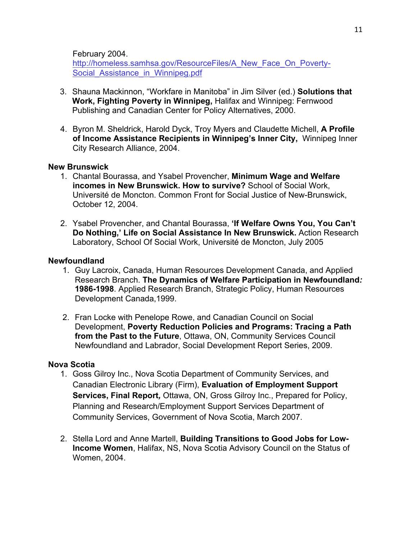February 2004.

http://homeless.samhsa.gov/ResourceFiles/A\_New\_Face\_On\_Poverty-Social Assistance in Winnipeg.pdf

- 3. Shauna Mackinnon, "Workfare in Manitoba" in Jim Silver (ed.) **Solutions that Work, Fighting Poverty in Winnipeg,** Halifax and Winnipeg: Fernwood Publishing and Canadian Center for Policy Alternatives, 2000.
- 4. Byron M. Sheldrick, Harold Dyck, Troy Myers and Claudette Michell, **A Profile of Income Assistance Recipients in Winnipeg's Inner City,** Winnipeg Inner City Research Alliance, 2004.

#### **New Brunswick**

- 1. Chantal Bourassa, and Ysabel Provencher, **Minimum Wage and Welfare incomes in New Brunswick. How to survive?** School of Social Work, Université de Moncton. Common Front for Social Justice of New-Brunswick, October 12, 2004.
- 2. Ysabel Provencher, and Chantal Bourassa, **'If Welfare Owns You, You Can't Do Nothing,' Life on Social Assistance In New Brunswick.** Action Research Laboratory, School Of Social Work, Université de Moncton, July 2005

#### **Newfoundland**

- 1. Guy Lacroix, Canada, Human Resources Development Canada, and Applied Research Branch. **The Dynamics of Welfare Participation in Newfoundland***:* **1986-1998**. Applied Research Branch, Strategic Policy, Human Resources Development Canada,1999.
- 2. Fran Locke with Penelope Rowe, and Canadian Council on Social Development, **Poverty Reduction Policies and Programs: Tracing a Path from the Past to the Future**, Ottawa, ON, Community Services Council Newfoundland and Labrador, Social Development Report Series, 2009.

#### **Nova Scotia**

- 1. Goss Gilroy Inc., Nova Scotia Department of Community Services, and Canadian Electronic Library (Firm), **Evaluation of Employment Support Services, Final Report***,* Ottawa, ON, Gross Gilroy Inc., Prepared for Policy, Planning and Research/Employment Support Services Department of Community Services, Government of Nova Scotia, March 2007.
- 2. Stella Lord and Anne Martell, **Building Transitions to Good Jobs for Low-Income Women**, Halifax, NS, Nova Scotia Advisory Council on the Status of Women, 2004.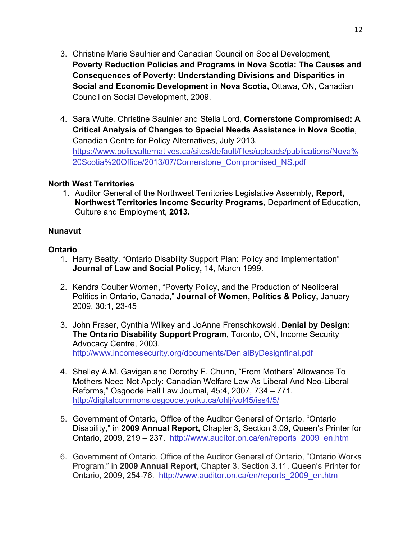- 3. Christine Marie Saulnier and Canadian Council on Social Development, **Poverty Reduction Policies and Programs in Nova Scotia: The Causes and Consequences of Poverty: Understanding Divisions and Disparities in Social and Economic Development in Nova Scotia,** Ottawa, ON, Canadian Council on Social Development, 2009.
- 4. Sara Wuite, Christine Saulnier and Stella Lord, **Cornerstone Compromised: A Critical Analysis of Changes to Special Needs Assistance in Nova Scotia**, Canadian Centre for Policy Alternatives, July 2013. https://www.policyalternatives.ca/sites/default/files/uploads/publications/Nova% 20Scotia%20Office/2013/07/Cornerstone\_Compromised\_NS.pdf

#### **North West Territories**

1. Auditor General of the Northwest Territories Legislative Assembly**, Report, Northwest Territories Income Security Programs**, Department of Education, Culture and Employment, **2013.**

## **Nunavut**

## **Ontario**

- 1. Harry Beatty, "Ontario Disability Support Plan: Policy and Implementation" **Journal of Law and Social Policy,** 14, March 1999.
- 2. Kendra Coulter Women, "Poverty Policy, and the Production of Neoliberal Politics in Ontario, Canada," **Journal of Women, Politics & Policy,** January 2009, 30:1, 23-45
- 3. John Fraser, Cynthia Wilkey and JoAnne Frenschkowski, **Denial by Design: The Ontario Disability Support Program**, Toronto, ON, Income Security Advocacy Centre, 2003. http://www.incomesecurity.org/documents/DenialByDesignfinal.pdf
- 4. Shelley A.M. Gavigan and Dorothy E. Chunn, "From Mothers' Allowance To Mothers Need Not Apply: Canadian Welfare Law As Liberal And Neo-Liberal Reforms," Osgoode Hall Law Journal, 45:4, 2007, 734 – 771. http://digitalcommons.osgoode.yorku.ca/ohlj/vol45/iss4/5/
- 5. Government of Ontario, Office of the Auditor General of Ontario, "Ontario Disability," in **2009 Annual Report,** Chapter 3, Section 3.09, Queen's Printer for Ontario, 2009, 219 – 237. http://www.auditor.on.ca/en/reports\_2009\_en.htm
- 6. Government of Ontario, Office of the Auditor General of Ontario, "Ontario Works Program," in **2009 Annual Report,** Chapter 3, Section 3.11, Queen's Printer for Ontario, 2009, 254-76. http://www.auditor.on.ca/en/reports\_2009\_en.htm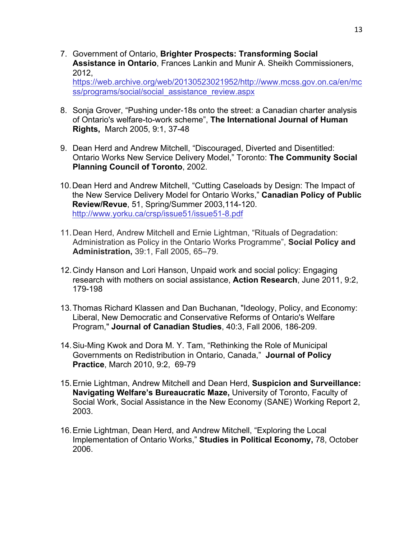7. Government of Ontario, **Brighter Prospects: Transforming Social Assistance in Ontario**, Frances Lankin and Munir A. Sheikh Commissioners, 2012,

https://web.archive.org/web/20130523021952/http://www.mcss.gov.on.ca/en/mc ss/programs/social/social\_assistance\_review.aspx

- 8. Sonja Grover, "Pushing under-18s onto the street: a Canadian charter analysis of Ontario's welfare-to-work scheme", **The International Journal of Human Rights,** March 2005, 9:1, 37-48
- 9. Dean Herd and Andrew Mitchell, "Discouraged, Diverted and Disentitled: Ontario Works New Service Delivery Model," Toronto: **The Community Social Planning Council of Toronto**, 2002.
- 10.Dean Herd and Andrew Mitchell, "Cutting Caseloads by Design: The Impact of the New Service Delivery Model for Ontario Works," **Canadian Policy of Public Review/Revue**, 51, Spring/Summer 2003,114-120. http://www.yorku.ca/crsp/issue51/issue51-8.pdf
- 11.Dean Herd, Andrew Mitchell and Ernie Lightman, "Rituals of Degradation: Administration as Policy in the Ontario Works Programme", **Social Policy and Administration,** 39:1, Fall 2005, 65–79.
- 12.Cindy Hanson and Lori Hanson, Unpaid work and social policy: Engaging research with mothers on social assistance, **Action Research**, June 2011, 9:2, 179-198
- 13.Thomas Richard Klassen and Dan Buchanan, "Ideology, Policy, and Economy: Liberal, New Democratic and Conservative Reforms of Ontario's Welfare Program," **Journal of Canadian Studies**, 40:3, Fall 2006, 186-209.
- 14.Siu-Ming Kwok and Dora M. Y. Tam, "Rethinking the Role of Municipal Governments on Redistribution in Ontario, Canada," **Journal of Policy Practice**, March 2010, 9:2, 69-79
- 15.Ernie Lightman, Andrew Mitchell and Dean Herd, **Suspicion and Surveillance: Navigating Welfare's Bureaucratic Maze,** University of Toronto, Faculty of Social Work, Social Assistance in the New Economy (SANE) Working Report 2, 2003.
- 16.Ernie Lightman, Dean Herd, and Andrew Mitchell, "Exploring the Local Implementation of Ontario Works," **Studies in Political Economy,** 78, October 2006.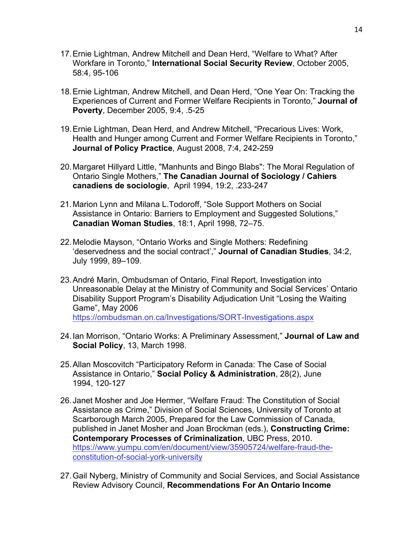- 17.Ernie Lightman, Andrew Mitchell and Dean Herd, "Welfare to What? After Workfare in Toronto," **International Social Security Review**, October 2005, 58:4, 95-106
- 18.Ernie Lightman, Andrew Mitchell, and Dean Herd, "One Year On: Tracking the Experiences of Current and Former Welfare Recipients in Toronto," **Journal of Poverty**, December 2005, 9:4, .5-25
- 19.Ernie Lightman, Dean Herd, and Andrew Mitchell, "Precarious Lives: Work, Health and Hunger among Current and Former Welfare Recipients in Toronto," **Journal of Policy Practice**, August 2008, 7:4, 242-259
- 20.Margaret Hillyard Little, "Manhunts and Bingo Blabs": The Moral Regulation of Ontario Single Mothers," **The Canadian Journal of Sociology / Cahiers canadiens de sociologie**, April 1994, 19:2, .233-247
- 21.Marion Lynn and Milana L.Todoroff, "Sole Support Mothers on Social Assistance in Ontario: Barriers to Employment and Suggested Solutions," **Canadian Woman Studies**, 18:1, April 1998, 72–75.
- 22.Melodie Mayson, "Ontario Works and Single Mothers: Redefining 'deservedness and the social contract'," **Journal of Canadian Studies**, 34:2, July 1999, 89–109.
- 23.André Marin, Ombudsman of Ontario, Final Report, Investigation into Unreasonable Delay at the Ministry of Community and Social Services' Ontario Disability Support Program's Disability Adjudication Unit "Losing the Waiting Game", May 2006 https://ombudsman.on.ca/Investigations/SORT-Investigations.aspx
- 24.Ian Morrison, "Ontario Works: A Preliminary Assessment," **Journal of Law and Social Policy**, 13, March 1998.
- 25.Allan Moscovitch "Participatory Reform in Canada: The Case of Social Assistance in Ontario," **Social Policy & Administration**, 28(2), June 1994, 120-127
- 26.Janet Mosher and Joe Hermer, "Welfare Fraud: The Constitution of Social Assistance as Crime," Division of Social Sciences, University of Toronto at Scarborough March 2005, Prepared for the Law Commission of Canada, published in Janet Mosher and Joan Brockman (eds.), **Constructing Crime: Contemporary Processes of Criminalization**, UBC Press, 2010. https://www.yumpu.com/en/document/view/35905724/welfare-fraud-theconstitution-of-social-york-university
- 27.Gail Nyberg, Ministry of Community and Social Services, and Social Assistance Review Advisory Council, **Recommendations For An Ontario Income**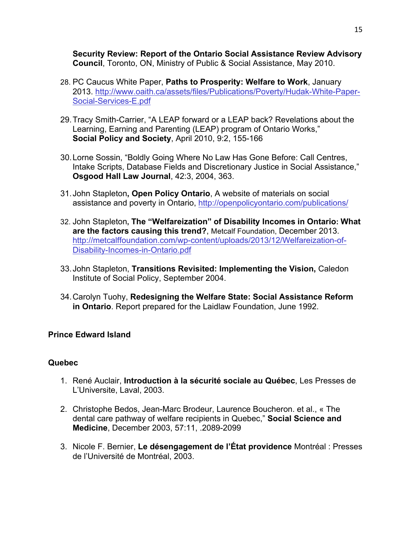**Security Review: Report of the Ontario Social Assistance Review Advisory Council**, Toronto, ON, Ministry of Public & Social Assistance, May 2010.

- 28. PC Caucus White Paper, **Paths to Prosperity: Welfare to Work**, January 2013. http://www.oaith.ca/assets/files/Publications/Poverty/Hudak-White-Paper-Social-Services-E.pdf
- 29.Tracy Smith-Carrier, "A LEAP forward or a LEAP back? Revelations about the Learning, Earning and Parenting (LEAP) program of Ontario Works," **Social Policy and Society**, April 2010, 9:2, 155-166
- 30.Lorne Sossin, "Boldly Going Where No Law Has Gone Before: Call Centres, Intake Scripts, Database Fields and Discretionary Justice in Social Assistance," **Osgood Hall Law Journal**, 42:3, 2004, 363.
- 31.John Stapleton**, Open Policy Ontario**, A website of materials on social assistance and poverty in Ontario, http://openpolicyontario.com/publications/
- 32. John Stapleton**, The "Welfareization" of Disability Incomes in Ontario: What are the factors causing this trend?**, Metcalf Foundation, December 2013. http://metcalffoundation.com/wp-content/uploads/2013/12/Welfareization-of-Disability-Incomes-in-Ontario.pdf
- 33.John Stapleton, **Transitions Revisited: Implementing the Vision,** Caledon Institute of Social Policy, September 2004.
- 34.Carolyn Tuohy, **Redesigning the Welfare State: Social Assistance Reform in Ontario**. Report prepared for the Laidlaw Foundation, June 1992.

# **Prince Edward Island**

#### **Quebec**

- 1. René Auclair, **Introduction à la sécurité sociale au Québec**, Les Presses de L'Universite, Laval, 2003.
- 2. Christophe Bedos, Jean-Marc Brodeur, Laurence Boucheron. et al., « The dental care pathway of welfare recipients in Quebec," **Social Science and Medicine**, December 2003, 57:11, .2089-2099
- 3. Nicole F. Bernier, **Le désengagement de l'État providence** Montréal : Presses de l'Université de Montréal, 2003.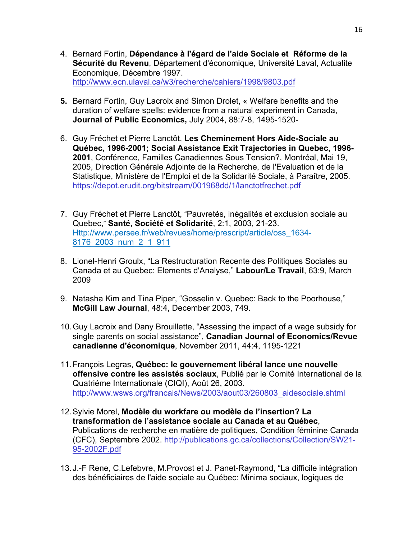- 4. Bernard Fortin, **Dépendance à l'égard de l'aide Sociale et Réforme de la Sécurité du Revenu**, Département d'économique, Université Laval, Actualite Economique, Décembre 1997. http://www.ecn.ulaval.ca/w3/recherche/cahiers/1998/9803.pdf
- **5.** Bernard Fortin, Guy Lacroix and Simon Drolet, « Welfare benefits and the duration of welfare spells: evidence from a natural experiment in Canada, **Journal of Public Economics,** July 2004, 88:7-8, 1495-1520-
- 6. Guy Fréchet et Pierre Lanctôt, **Les Cheminement Hors Aide-Sociale au Québec, 1996-2001; Social Assistance Exit Trajectories in Quebec, 1996- 2001**, Conférence, Familles Canadiennes Sous Tension?, Montréal, Mai 19, 2005, Direction Générale Adjointe de la Recherche, de l'Evaluation et de la Statistique, Ministère de l'Emploi et de la Solidarité Sociale, à Paraître, 2005. https://depot.erudit.org/bitstream/001968dd/1/lanctotfrechet.pdf
- 7. Guy Fréchet et Pierre Lanctôt, "Pauvretés, inégalités et exclusion sociale au Quebec," **Santé, Société et Solidarité**, 2:1, 2003, 21-23. Http://www.persee.fr/web/revues/home/prescript/article/oss\_1634- 8176\_2003\_num\_2\_1\_911
- 8. Lionel-Henri Groulx, "La Restructuration Recente des Politiques Sociales au Canada et au Quebec: Elements d'Analyse," **Labour/Le Travail**, 63:9, March 2009
- 9. Natasha Kim and Tina Piper, "Gosselin v. Quebec: Back to the Poorhouse," **McGill Law Journal**, 48:4, December 2003, 749.
- 10.Guy Lacroix and Dany Brouillette, "Assessing the impact of a wage subsidy for single parents on social assistance", **Canadian Journal of Economics/Revue canadienne d'économique**, November 2011, 44:4, 1195-1221
- 11.François Legras, **Québec: le gouvernement libéral lance une nouvelle offensive contre les assistés sociaux**, Publié par le Comité International de la Quatriéme Internationale (CIQI), Août 26, 2003. http://www.wsws.org/francais/News/2003/aout03/260803\_aidesociale.shtml
- 12.Sylvie Morel, **Modèle du workfare ou modèle de l'insertion? La transformation de l'assistance sociale au Canada et au Québec**, Publications de recherche en matière de politiques, Condition féminine Canada (CFC), Septembre 2002. http://publications.gc.ca/collections/Collection/SW21- 95-2002F.pdf
- 13.J.-F Rene, C.Lefebvre, M.Provost et J. Panet-Raymond, "La difficile intégration des bénéficiaires de l'aide sociale au Québec: Minima sociaux, logiques de